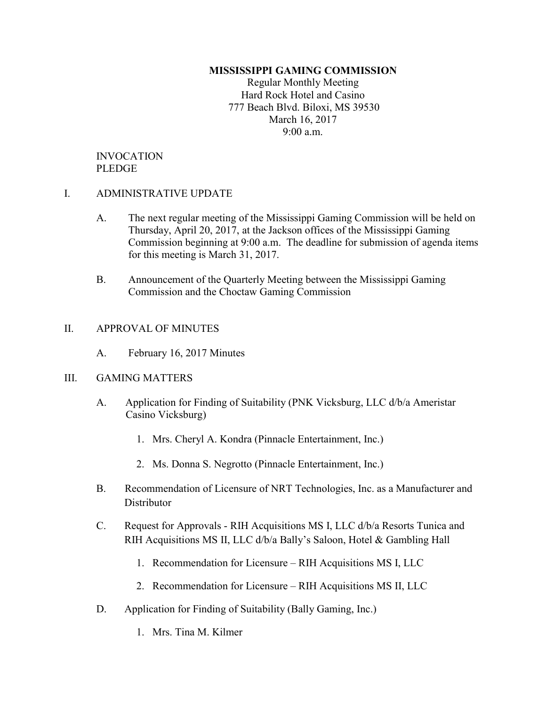### MISSISSIPPI GAMING COMMISSION

Regular Monthly Meeting Hard Rock Hotel and Casino 777 Beach Blvd. Biloxi, MS 39530 March 16, 2017 9:00 a.m.

## INVOCATION PLEDGE

### I. ADMINISTRATIVE UPDATE

- A. The next regular meeting of the Mississippi Gaming Commission will be held on Thursday, April 20, 2017, at the Jackson offices of the Mississippi Gaming Commission beginning at 9:00 a.m. The deadline for submission of agenda items for this meeting is March 31, 2017.
- B. Announcement of the Quarterly Meeting between the Mississippi Gaming Commission and the Choctaw Gaming Commission

### II. APPROVAL OF MINUTES

A. February 16, 2017 Minutes

### III. GAMING MATTERS

- A. Application for Finding of Suitability (PNK Vicksburg, LLC d/b/a Ameristar Casino Vicksburg)
	- 1. Mrs. Cheryl A. Kondra (Pinnacle Entertainment, Inc.)
	- 2. Ms. Donna S. Negrotto (Pinnacle Entertainment, Inc.)
- B. Recommendation of Licensure of NRT Technologies, Inc. as a Manufacturer and **Distributor**
- C. Request for Approvals RIH Acquisitions MS I, LLC d/b/a Resorts Tunica and RIH Acquisitions MS II, LLC d/b/a Bally's Saloon, Hotel & Gambling Hall
	- 1. Recommendation for Licensure RIH Acquisitions MS I, LLC
	- 2. Recommendation for Licensure RIH Acquisitions MS II, LLC
- D. Application for Finding of Suitability (Bally Gaming, Inc.)
	- 1. Mrs. Tina M. Kilmer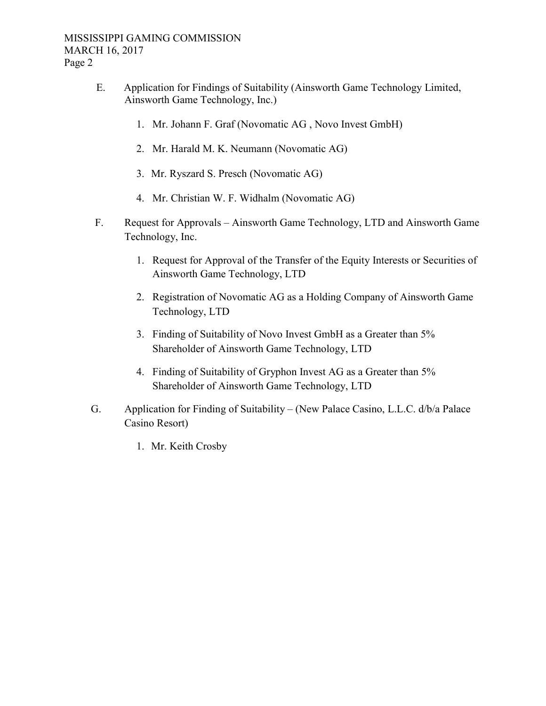- E. Application for Findings of Suitability (Ainsworth Game Technology Limited, Ainsworth Game Technology, Inc.)
	- 1. Mr. Johann F. Graf (Novomatic AG , Novo Invest GmbH)
	- 2. Mr. Harald M. K. Neumann (Novomatic AG)
	- 3. Mr. Ryszard S. Presch (Novomatic AG)
	- 4. Mr. Christian W. F. Widhalm (Novomatic AG)
- F. Request for Approvals Ainsworth Game Technology, LTD and Ainsworth Game Technology, Inc.
	- 1. Request for Approval of the Transfer of the Equity Interests or Securities of Ainsworth Game Technology, LTD
	- 2. Registration of Novomatic AG as a Holding Company of Ainsworth Game Technology, LTD
	- 3. Finding of Suitability of Novo Invest GmbH as a Greater than 5% Shareholder of Ainsworth Game Technology, LTD
	- 4. Finding of Suitability of Gryphon Invest AG as a Greater than 5% Shareholder of Ainsworth Game Technology, LTD
- G. Application for Finding of Suitability (New Palace Casino, L.L.C. d/b/a Palace Casino Resort)
	- 1. Mr. Keith Crosby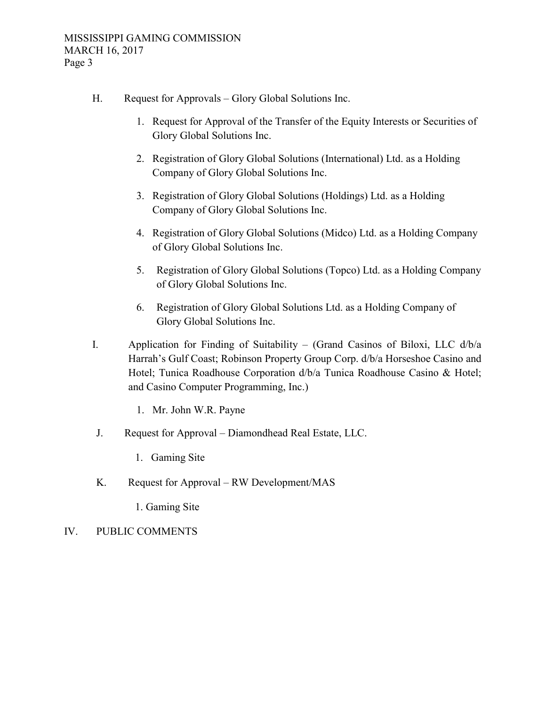- H. Request for Approvals Glory Global Solutions Inc.
	- 1. Request for Approval of the Transfer of the Equity Interests or Securities of Glory Global Solutions Inc.
	- 2. Registration of Glory Global Solutions (International) Ltd. as a Holding Company of Glory Global Solutions Inc.
	- 3. Registration of Glory Global Solutions (Holdings) Ltd. as a Holding Company of Glory Global Solutions Inc.
	- 4. Registration of Glory Global Solutions (Midco) Ltd. as a Holding Company of Glory Global Solutions Inc.
	- 5. Registration of Glory Global Solutions (Topco) Ltd. as a Holding Company of Glory Global Solutions Inc.
	- 6. Registration of Glory Global Solutions Ltd. as a Holding Company of Glory Global Solutions Inc.
- I. Application for Finding of Suitability (Grand Casinos of Biloxi, LLC d/b/a Harrah's Gulf Coast; Robinson Property Group Corp. d/b/a Horseshoe Casino and Hotel; Tunica Roadhouse Corporation d/b/a Tunica Roadhouse Casino & Hotel; and Casino Computer Programming, Inc.)
	- 1. Mr. John W.R. Payne
- J. Request for Approval Diamondhead Real Estate, LLC.
	- 1. Gaming Site
- K. Request for Approval RW Development/MAS
	- 1. Gaming Site
- IV. PUBLIC COMMENTS